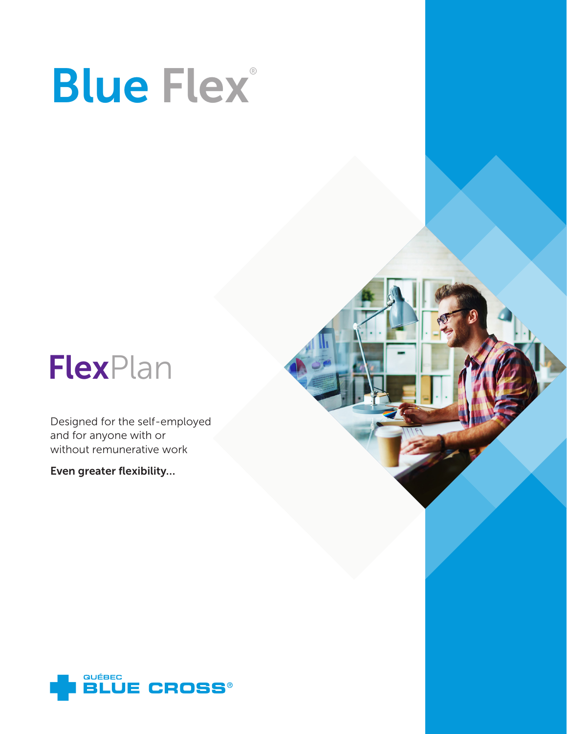# **Blue Flex®**



Designed for the self-employed and for anyone with or without remunerative work

Even greater flexibility…

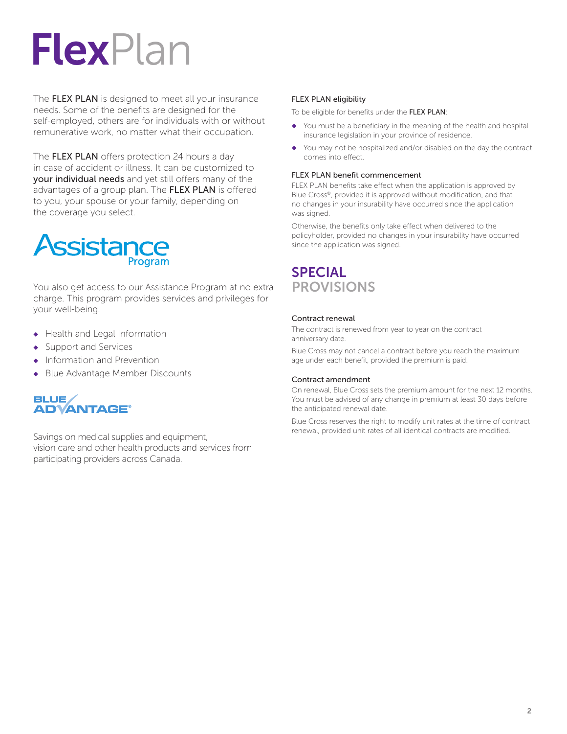# **FlexPlan**

The **FLEX PLAN** is designed to meet all your insurance needs. Some of the benefits are designed for the self-employed, others are for individuals with or without remunerative work, no matter what their occupation.

The **FLEX PLAN** offers protection 24 hours a day in case of accident or illness. It can be customized to your individual needs and yet still offers many of the advantages of a group plan. The FLEX PLAN is offered to you, your spouse or your family, depending on the coverage you select.



You also get access to our Assistance Program at no extra charge. This program provides services and privileges for your well-being.

- ◆ Health and Legal Information
- ◆ Support and Services
- Information and Prevention
- **Blue Advantage Member Discounts**

# **BLUE/ ADVANTAGE®**

Savings on medical supplies and equipment, vision care and other health products and services from participating providers across Canada.

# FLEX PLAN eligibility

To be eligible for benefits under the FLEX PLAN:

- ◆ You must be a beneficiary in the meaning of the health and hospital insurance legislation in your province of residence.
- ◆ You may not be hospitalized and/or disabled on the day the contract comes into effect.

# FLEX PLAN benefit commencement

FLEX PLAN benefits take effect when the application is approved by Blue Cross®, provided it is approved without modification, and that no changes in your insurability have occurred since the application was signed.

Otherwise, the benefits only take effect when delivered to the policyholder, provided no changes in your insurability have occurred since the application was signed.

# SPECIAL **PROVISIONS**

# Contract renewal

The contract is renewed from year to year on the contract anniversary date.

Blue Cross may not cancel a contract before you reach the maximum age under each benefit, provided the premium is paid.

# Contract amendment

On renewal, Blue Cross sets the premium amount for the next 12 months. You must be advised of any change in premium at least 30 days before the anticipated renewal date.

Blue Cross reserves the right to modify unit rates at the time of contract renewal, provided unit rates of all identical contracts are modified.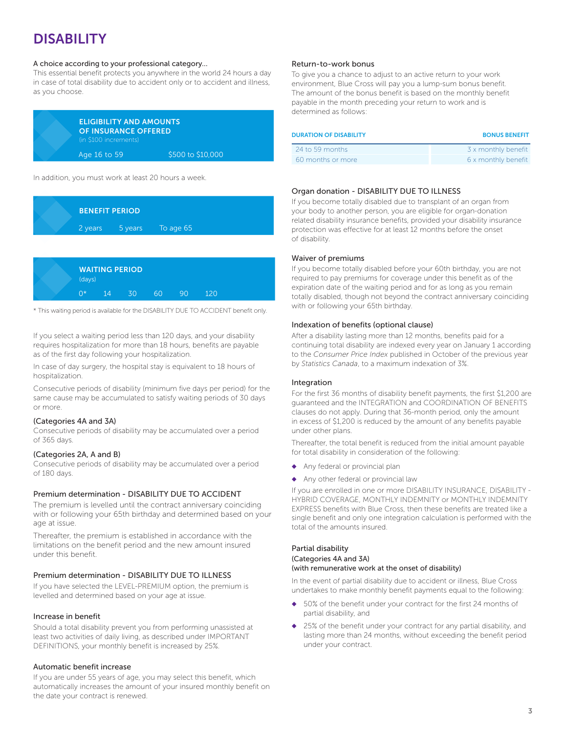# DISABILITY

# A choice according to your professional category…

This essential benefit protects you anywhere in the world 24 hours a day in case of total disability due to accident only or to accident and illness, as you choose.



# In addition, you must work at least 20 hours a week.



| <b>WAITING PERIOD</b><br>(days) |     |    |    |    |            |
|---------------------------------|-----|----|----|----|------------|
| $\bigcap$ $\star$               | -14 | 30 | 60 | 90 | <b>120</b> |

\* This waiting period is available for the DISABILITY DUE TO ACCIDENT benefit only.

If you select a waiting period less than 120 days, and your disability requires hospitalization for more than 18 hours, benefits are payable as of the first day following your hospitalization.

In case of day surgery, the hospital stay is equivalent to 18 hours of hospitalization.

Consecutive periods of disability (minimum five days per period) for the same cause may be accumulated to satisfy waiting periods of 30 days or more.

# (Categories 4A and 3A)

Consecutive periods of disability may be accumulated over a period of 365 days.

# (Categories 2A, A and B)

Consecutive periods of disability may be accumulated over a period of 180 days.

# Premium determination - DISABILITY DUE TO ACCIDENT

The premium is levelled until the contract anniversary coinciding with or following your 65th birthday and determined based on your age at issue.

Thereafter, the premium is established in accordance with the limitations on the benefit period and the new amount insured under this benefit.

# Premium determination - DISABILITY DUE TO ILLNESS

If you have selected the LEVEL-PREMIUM option, the premium is levelled and determined based on your age at issue.

# Increase in benefit

Should a total disability prevent you from performing unassisted at least two activities of daily living, as described under IMPORTANT DEFINITIONS, your monthly benefit is increased by 25%.

# Automatic benefit increase

If you are under 55 years of age, you may select this benefit, which automatically increases the amount of your insured monthly benefit on the date your contract is renewed.

# Return-to-work bonus

To give you a chance to adjust to an active return to your work environment, Blue Cross will pay you a lump-sum bonus benefit. The amount of the bonus benefit is based on the monthly benefit payable in the month preceding your return to work and is determined as follows:

| <b>DURATION OF DISABILITY</b> | <b>BONUS BENEFIT</b> |
|-------------------------------|----------------------|
| 24 to 59 months               | 3 x monthly benefit  |
| 60 months or more             | 6 x monthly benefit  |

# Organ donation - DISABILITY DUE TO ILLNESS

If you become totally disabled due to transplant of an organ from your body to another person, you are eligible for organ-donation related disability insurance benefits, provided your disability insurance protection was effective for at least 12 months before the onset of disability.

# Waiver of premiums

If you become totally disabled before your 60th birthday, you are not required to pay premiums for coverage under this benefit as of the expiration date of the waiting period and for as long as you remain totally disabled, though not beyond the contract anniversary coinciding with or following your 65th birthday.

# Indexation of benefits (optional clause)

After a disability lasting more than 12 months, benefits paid for a continuing total disability are indexed every year on January 1 according to the *Consumer Price Index* published in October of the previous year by *Statistics Canada*, to a maximum indexation of 3%.

# Integration

For the first 36 months of disability benefit payments, the first \$1,200 are guaranteed and the INTEGRATION and COORDINATION OF BENEFITS clauses do not apply. During that 36-month period, only the amount in excess of \$1,200 is reduced by the amount of any benefits payable under other plans.

Thereafter, the total benefit is reduced from the initial amount payable for total disability in consideration of the following:

- ◆ Any federal or provincial plan
- ◆ Any other federal or provincial law

If you are enrolled in one or more DISABILITY INSURANCE, DISABILITY - HYBRID COVERAGE, MONTHLY INDEMNITY or MONTHLY INDEMNITY EXPRESS benefits with Blue Cross, then these benefits are treated like a single benefit and only one integration calculation is performed with the total of the amounts insured.

# Partial disability (Categories 4A and 3A) (with remunerative work at the onset of disability)

In the event of partial disability due to accident or illness, Blue Cross undertakes to make monthly benefit payments equal to the following:

- 50% of the benefit under your contract for the first 24 months of partial disability, and
- 25% of the benefit under your contract for any partial disability, and lasting more than 24 months, without exceeding the benefit period under your contract.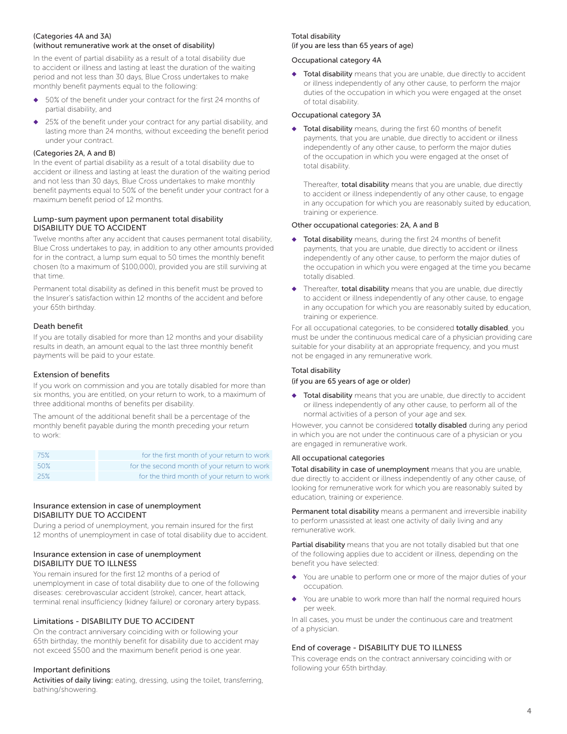# (Categories 4A and 3A) (without remunerative work at the onset of disability)

In the event of partial disability as a result of a total disability due to accident or illness and lasting at least the duration of the waiting period and not less than 30 days, Blue Cross undertakes to make monthly benefit payments equal to the following:

- 50% of the benefit under your contract for the first 24 months of partial disability, and
- 25% of the benefit under your contract for any partial disability, and lasting more than 24 months, without exceeding the benefit period under your contract.

# (Categories 2A, A and B)

In the event of partial disability as a result of a total disability due to accident or illness and lasting at least the duration of the waiting period and not less than 30 days, Blue Cross undertakes to make monthly benefit payments equal to 50% of the benefit under your contract for a maximum benefit period of 12 months.

# Lump-sum payment upon permanent total disability DISABILITY DUE TO ACCIDENT

Twelve months after any accident that causes permanent total disability, Blue Cross undertakes to pay, in addition to any other amounts provided for in the contract, a lump sum equal to 50 times the monthly benefit chosen (to a maximum of \$100,000), provided you are still surviving at that time.

Permanent total disability as defined in this benefit must be proved to the Insurer's satisfaction within 12 months of the accident and before your 65th birthday.

# Death benefit

If you are totally disabled for more than 12 months and your disability results in death, an amount equal to the last three monthly benefit payments will be paid to your estate.

# Extension of benefits

If you work on commission and you are totally disabled for more than six months, you are entitled, on your return to work, to a maximum of three additional months of benefits per disability.

The amount of the additional benefit shall be a percentage of the monthly benefit payable during the month preceding your return to work:

| 75%   | for the first month of your return to work  |
|-------|---------------------------------------------|
| .50%  | for the second month of your return to work |
| - 25% | for the third month of your return to work  |

# Insurance extension in case of unemployment DISABILITY DUE TO ACCIDENT

During a period of unemployment, you remain insured for the first 12 months of unemployment in case of total disability due to accident.

# Insurance extension in case of unemployment DISABILITY DUE TO ILLNESS

You remain insured for the first 12 months of a period of unemployment in case of total disability due to one of the following diseases: cerebrovascular accident (stroke), cancer, heart attack, terminal renal insufficiency (kidney failure) or coronary artery bypass.

# Limitations - DISABILITY DUE TO ACCIDENT

On the contract anniversary coinciding with or following your 65th birthday, the monthly benefit for disability due to accident may not exceed \$500 and the maximum benefit period is one year.

# Important definitions

Activities of daily living: eating, dressing, using the toilet, transferring, bathing/showering.

# Total disability

# (if you are less than 65 years of age)

# Occupational category 4A

◆ Total disability means that you are unable, due directly to accident or illness independently of any other cause, to perform the major duties of the occupation in which you were engaged at the onset of total disability.

# Occupational category 3A

◆ Total disability means, during the first 60 months of benefit payments, that you are unable, due directly to accident or illness independently of any other cause, to perform the major duties of the occupation in which you were engaged at the onset of total disability.

Thereafter, total disability means that you are unable, due directly to accident or illness independently of any other cause, to engage in any occupation for which you are reasonably suited by education, training or experience.

# Other occupational categories: 2A, A and B

- ◆ Total disability means, during the first 24 months of benefit payments, that you are unable, due directly to accident or illness independently of any other cause, to perform the major duties of the occupation in which you were engaged at the time you became totally disabled.
- ◆ Thereafter, total disability means that you are unable, due directly to accident or illness independently of any other cause, to engage in any occupation for which you are reasonably suited by education, training or experience.

For all occupational categories, to be considered totally disabled, you must be under the continuous medical care of a physician providing care suitable for your disability at an appropriate frequency, and you must not be engaged in any remunerative work.

# Total disability

# (if you are 65 years of age or older)

◆ Total disability means that you are unable, due directly to accident or illness independently of any other cause, to perform all of the normal activities of a person of your age and sex.

However, you cannot be considered **totally disabled** during any period in which you are not under the continuous care of a physician or you are engaged in remunerative work.

# All occupational categories

Total disability in case of unemployment means that you are unable, due directly to accident or illness independently of any other cause, of looking for remunerative work for which you are reasonably suited by education, training or experience.

Permanent total disability means a permanent and irreversible inability to perform unassisted at least one activity of daily living and any remunerative work.

Partial disability means that you are not totally disabled but that one of the following applies due to accident or illness, depending on the benefit you have selected:

- You are unable to perform one or more of the major duties of your occupation.
- You are unable to work more than half the normal required hours per week.

In all cases, you must be under the continuous care and treatment of a physician.

# End of coverage - DISABILITY DUE TO ILLNESS

This coverage ends on the contract anniversary coinciding with or following your 65th birthday.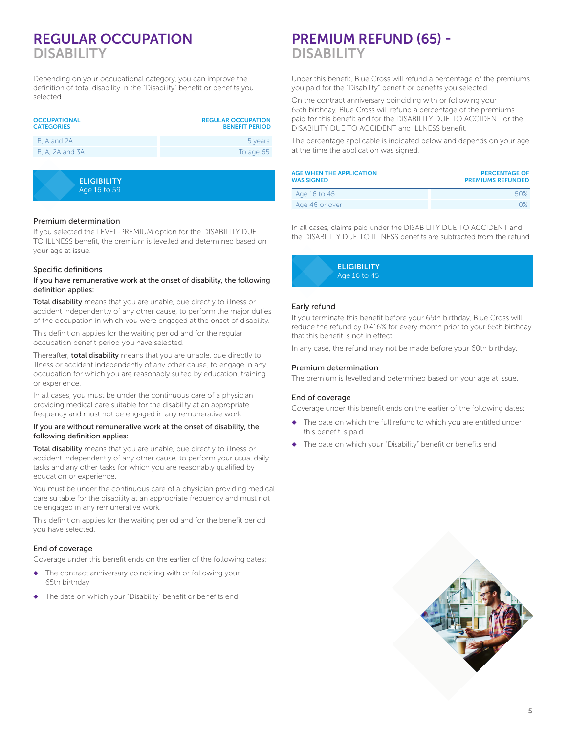# REGULAR OCCUPATION DISABILITY

Depending on your occupational category, you can improve the definition of total disability in the "Disability" benefit or benefits you selected.

| <b>OCCUPATIONAL</b><br><b>CATEGORIES</b> | <b>REGULAR OCCUPATION</b><br><b>BENEFIT PERIOD</b> |
|------------------------------------------|----------------------------------------------------|
| B, A and 2A                              | 5 years                                            |
| B, A, 2A and 3A                          | To age 65                                          |
|                                          |                                                    |
| <b>ELIGIBILITY</b>                       |                                                    |

Age 16 to 59

# Premium determination

If you selected the LEVEL-PREMIUM option for the DISABILITY DUE TO ILLNESS benefit, the premium is levelled and determined based on your age at issue.

# Specific definitions

# If you have remunerative work at the onset of disability, the following definition applies:

Total disability means that you are unable, due directly to illness or accident independently of any other cause, to perform the major duties of the occupation in which you were engaged at the onset of disability.

This definition applies for the waiting period and for the regular occupation benefit period you have selected.

Thereafter, total disability means that you are unable, due directly to illness or accident independently of any other cause, to engage in any occupation for which you are reasonably suited by education, training or experience.

In all cases, you must be under the continuous care of a physician providing medical care suitable for the disability at an appropriate frequency and must not be engaged in any remunerative work.

# If you are without remunerative work at the onset of disability, the following definition applies:

Total disability means that you are unable, due directly to illness or accident independently of any other cause, to perform your usual daily tasks and any other tasks for which you are reasonably qualified by education or experience.

You must be under the continuous care of a physician providing medical care suitable for the disability at an appropriate frequency and must not be engaged in any remunerative work.

This definition applies for the waiting period and for the benefit period you have selected.

# End of coverage

Coverage under this benefit ends on the earlier of the following dates:

- ◆ The contract anniversary coinciding with or following your 65th birthday
- The date on which your "Disability" benefit or benefits end

# PREMIUM REFUND (65) - DISABILITY

Under this benefit, Blue Cross will refund a percentage of the premiums you paid for the "Disability" benefit or benefits you selected.

On the contract anniversary coinciding with or following your 65th birthday, Blue Cross will refund a percentage of the premiums paid for this benefit and for the DISABILITY DUE TO ACCIDENT or the DISABILITY DUE TO ACCIDENT and ILLNESS benefit.

The percentage applicable is indicated below and depends on your age at the time the application was signed.

| <b>AGE WHEN THE APPLICATION</b><br><b>WAS SIGNED</b> | <b>PERCENTAGE OF</b><br><b>PREMIUMS REFUNDED</b> |
|------------------------------------------------------|--------------------------------------------------|
| Age 16 to 45                                         | 50%                                              |
| Age 46 or over                                       | n%                                               |

In all cases, claims paid under the DISABILITY DUE TO ACCIDENT and the DISABILITY DUE TO ILLNESS benefits are subtracted from the refund.



# Early refund

If you terminate this benefit before your 65th birthday, Blue Cross will reduce the refund by 0.416% for every month prior to your 65th birthday that this benefit is not in effect.

In any case, the refund may not be made before your 60th birthday.

# Premium determination

The premium is levelled and determined based on your age at issue.

# End of coverage

Coverage under this benefit ends on the earlier of the following dates:

- The date on which the full refund to which you are entitled under this benefit is paid
- ◆ The date on which your "Disability" benefit or benefits end

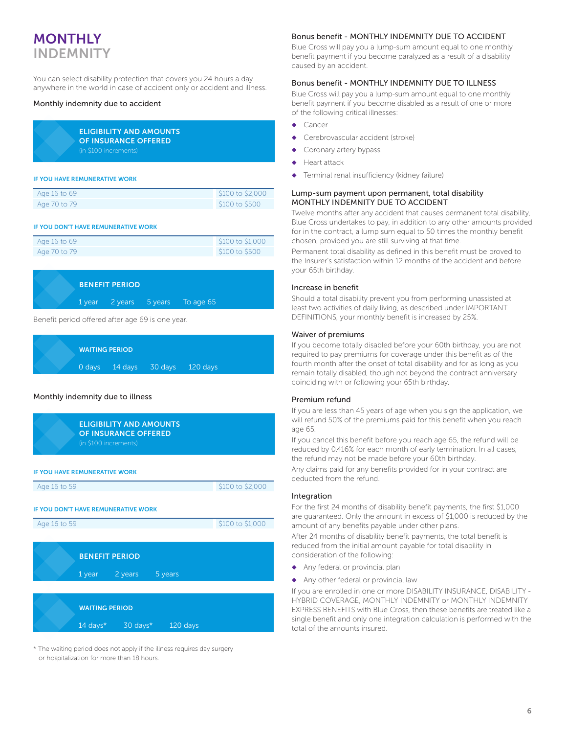# MONTHLY INDEMNITY

You can select disability protection that covers you 24 hours a day anywhere in the world in case of accident only or accident and illness.

# Monthly indemnity due to accident

| <b>ELIGIBILITY AND AMOUNTS</b> |
|--------------------------------|
| <b>OF INSURANCE OFFERED</b>    |
| (in \$100 increments)          |

#### IF YOU HAVE REMUNERATIVE WORK

| Age 16 to 69 | \$100 to \$2,000 |
|--------------|------------------|
| Age 70 to 79 | \$100 to \$500   |

#### IF YOU DON'T HAVE REMUNERATIVE WORK

| Age 16 to 69 | \$100 to \$1,000 |
|--------------|------------------|
| Age 70 to 79 | \$100 to \$500   |

|  | <b>BENEFIT PERIOD</b> |                                  |  |
|--|-----------------------|----------------------------------|--|
|  |                       | 1 year 2 years 5 years To age 65 |  |

Benefit period offered after age 69 is one year.

| <b>WAITING PERIOD</b> |                                                                                     |  |
|-----------------------|-------------------------------------------------------------------------------------|--|
|                       | $\overline{0}$ days $\overline{14}$ days $\overline{30}$ days $\overline{120}$ days |  |

# Monthly indemnity due to illness



\* The waiting period does not apply if the illness requires day surgery or hospitalization for more than 18 hours.

# Bonus benefit - MONTHLY INDEMNITY DUE TO ACCIDENT

Blue Cross will pay you a lump-sum amount equal to one monthly benefit payment if you become paralyzed as a result of a disability caused by an accident.

# Bonus benefit - MONTHLY INDEMNITY DUE TO ILLNESS

Blue Cross will pay you a lump-sum amount equal to one monthly benefit payment if you become disabled as a result of one or more of the following critical illnesses:

- Cancer
- Cerebrovascular accident (stroke)
- Coronary artery bypass
- ◆ Heart attack
- Terminal renal insufficiency (kidney failure)

# Lump-sum payment upon permanent, total disability MONTHLY INDEMNITY DUE TO ACCIDENT

Twelve months after any accident that causes permanent total disability, Blue Cross undertakes to pay, in addition to any other amounts provided for in the contract, a lump sum equal to 50 times the monthly benefit chosen, provided you are still surviving at that time.

Permanent total disability as defined in this benefit must be proved to the Insurer's satisfaction within 12 months of the accident and before your 65th birthday.

#### Increase in benefit

Should a total disability prevent you from performing unassisted at least two activities of daily living, as described under IMPORTANT DEFINITIONS, your monthly benefit is increased by 25%.

# Waiver of premiums

If you become totally disabled before your 60th birthday, you are not required to pay premiums for coverage under this benefit as of the fourth month after the onset of total disability and for as long as you remain totally disabled, though not beyond the contract anniversary coinciding with or following your 65th birthday.

#### Premium refund

If you are less than 45 years of age when you sign the application, we will refund 50% of the premiums paid for this benefit when you reach age 65.

If you cancel this benefit before you reach age 65, the refund will be reduced by 0.416% for each month of early termination. In all cases, the refund may not be made before your 60th birthday.

Any claims paid for any benefits provided for in your contract are deducted from the refund.

#### **Integration**

For the first 24 months of disability benefit payments, the first \$1,000 are guaranteed. Only the amount in excess of \$1,000 is reduced by the amount of any benefits payable under other plans.

After 24 months of disability benefit payments, the total benefit is reduced from the initial amount payable for total disability in consideration of the following:

- Any federal or provincial plan
- ◆ Any other federal or provincial law

If you are enrolled in one or more DISABILITY INSURANCE, DISABILITY - HYBRID COVERAGE, MONTHLY INDEMNITY or MONTHLY INDEMNITY EXPRESS BENEFITS with Blue Cross, then these benefits are treated like a single benefit and only one integration calculation is performed with the total of the amounts insured.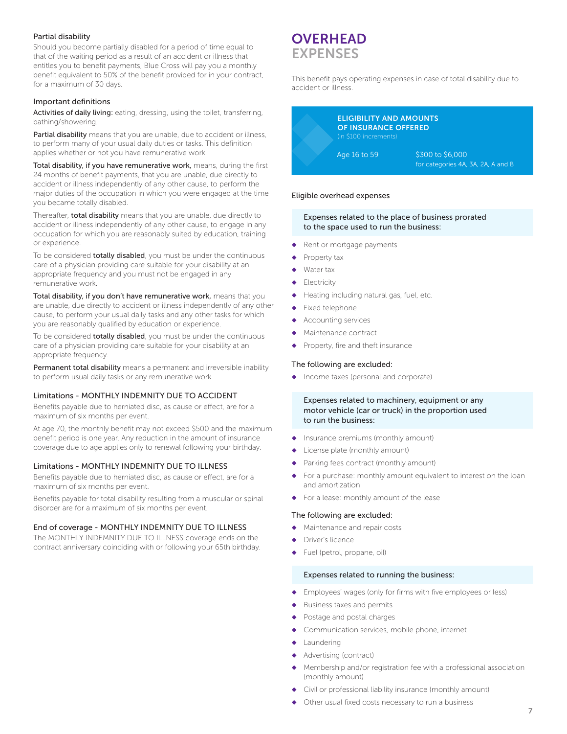# Partial disability

Should you become partially disabled for a period of time equal to that of the waiting period as a result of an accident or illness that entitles you to benefit payments, Blue Cross will pay you a monthly benefit equivalent to 50% of the benefit provided for in your contract, for a maximum of 30 days.

# Important definitions

Activities of daily living: eating, dressing, using the toilet, transferring, bathing/showering.

Partial disability means that you are unable, due to accident or illness, to perform many of your usual daily duties or tasks. This definition applies whether or not you have remunerative work.

Total disability, if you have remunerative work, means, during the first 24 months of benefit payments, that you are unable, due directly to accident or illness independently of any other cause, to perform the major duties of the occupation in which you were engaged at the time you became totally disabled.

Thereafter, total disability means that you are unable, due directly to accident or illness independently of any other cause, to engage in any occupation for which you are reasonably suited by education, training or experience.

To be considered totally disabled, you must be under the continuous care of a physician providing care suitable for your disability at an appropriate frequency and you must not be engaged in any remunerative work.

Total disability, if you don't have remunerative work, means that you are unable, due directly to accident or illness independently of any other cause, to perform your usual daily tasks and any other tasks for which you are reasonably qualified by education or experience.

To be considered totally disabled, you must be under the continuous care of a physician providing care suitable for your disability at an appropriate frequency.

Permanent total disability means a permanent and irreversible inability to perform usual daily tasks or any remunerative work.

# Limitations - MONTHLY INDEMNITY DUE TO ACCIDENT

Benefits payable due to herniated disc, as cause or effect, are for a maximum of six months per event.

At age 70, the monthly benefit may not exceed \$500 and the maximum benefit period is one year. Any reduction in the amount of insurance coverage due to age applies only to renewal following your birthday.

# Limitations - MONTHLY INDEMNITY DUE TO ILLNESS

Benefits payable due to herniated disc, as cause or effect, are for a maximum of six months per event.

Benefits payable for total disability resulting from a muscular or spinal disorder are for a maximum of six months per event.

#### End of coverage - MONTHLY INDEMNITY DUE TO ILLNESS

The MONTHLY INDEMNITY DUE TO ILLNESS coverage ends on the contract anniversary coinciding with or following your 65th birthday.

# **OVERHEAD** EXPENSES

This benefit pays operating expenses in case of total disability due to accident or illness.



#### Eligible overhead expenses

# Expenses related to the place of business prorated to the space used to run the business:

- Rent or mortgage payments
- Property tax
- Water tax
- **Electricity**
- Heating including natural gas, fuel, etc.
- Fixed telephone
- Accounting services
- Maintenance contract
- Property, fire and theft insurance

#### The following are excluded:

◆ Income taxes (personal and corporate)

Expenses related to machinery, equipment or any motor vehicle (car or truck) in the proportion used to run the business:

- ◆ Insurance premiums (monthly amount)
- License plate (monthly amount)
- Parking fees contract (monthly amount)
- ◆ For a purchase: monthly amount equivalent to interest on the loan and amortization
- For a lease: monthly amount of the lease

#### The following are excluded:

- Maintenance and repair costs
- Driver's licence
- Fuel (petrol, propane, oil)

#### Expenses related to running the business:

- ◆ Employees' wages (only for firms with five employees or less)
- Business taxes and permits
- Postage and postal charges
- Communication services, mobile phone, internet
- Laundering
- Advertising (contract)
- Membership and/or registration fee with a professional association (monthly amount)
- Civil or professional liability insurance (monthly amount)
- Other usual fixed costs necessary to run a business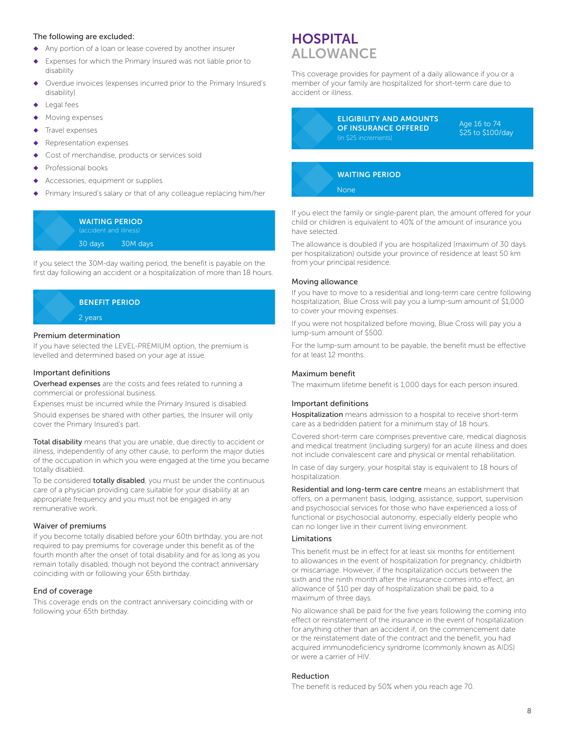# The following are excluded:

- ◆ Any portion of a loan or lease covered by another insurer
- Expenses for which the Primary Insured was not liable prior to disability
- Overdue invoices (expenses incurred prior to the Primary Insured's disability)
- Legal fees
- Moving expenses
- Travel expenses
- Representation expenses
- Cost of merchandise, products or services sold
- Professional books
- Accessories, equipment or supplies
- Primary Insured's salary or that of any colleague replacing him/her

WAITING PERIOD

30 days 30M days

If you select the 30M-day waiting period, the benefit is payable on the first day following an accident or a hospitalization of more than 18 hours.



# Premium determination

If you have selected the LEVEL-PREMIUM option, the premium is levelled and determined based on your age at issue.

# Important definitions

Overhead expenses are the costs and fees related to running a commercial or professional business.

Expenses must be incurred while the Primary Insured is disabled. Should expenses be shared with other parties, the Insurer will only cover the Primary Insured's part.

Total disability means that you are unable, due directly to accident or illness, independently of any other cause, to perform the major duties of the occupation in which you were engaged at the time you became totally disabled.

To be considered **totally disabled**, you must be under the continuous care of a physician providing care suitable for your disability at an appropriate frequency and you must not be engaged in any remunerative work.

# Waiver of premiums

If you become totally disabled before your 60th birthday, you are not required to pay premiums for coverage under this benefit as of the fourth month after the onset of total disability and for as long as you remain totally disabled, though not beyond the contract anniversary coinciding with or following your 65th birthday.

# End of coverage

This coverage ends on the contract anniversary coinciding with or following your 65th birthday.

# **HOSPITAL ALLOWANCE**

This coverage provides for payment of a daily allowance if you or a member of your family are hospitalized for short-term care due to accident or illness.

ELIGIBILITY AND AMOUNTS OF INSURANCE OFFERED (in \$25 increments)

Age 16 to 74 \$25 to \$100/day

# WAITING PERIOD

None

If you elect the family or single-parent plan, the amount offered for your child or children is equivalent to 40% of the amount of insurance you have selected.

The allowance is doubled if you are hospitalized (maximum of 30 days per hospitalization) outside your province of residence at least 50 km from your principal residence.

# Moving allowance

If you have to move to a residential and long-term care centre following hospitalization, Blue Cross will pay you a lump-sum amount of \$1,000 to cover your moving expenses.

If you were not hospitalized before moving, Blue Cross will pay you a lump-sum amount of \$500.

For the lump-sum amount to be payable, the benefit must be effective for at least 12 months.

# Maximum benefit

The maximum lifetime benefit is 1,000 days for each person insured.

# Important definitions

Hospitalization means admission to a hospital to receive short-term care as a bedridden patient for a minimum stay of 18 hours.

Covered short-term care comprises preventive care, medical diagnosis and medical treatment (including surgery) for an acute illness and does not include convalescent care and physical or mental rehabilitation.

In case of day surgery, your hospital stay is equivalent to 18 hours of hospitalization.

Residential and long-term care centre means an establishment that offers, on a permanent basis, lodging, assistance, support, supervision and psychosocial services for those who have experienced a loss of functional or psychosocial autonomy, especially elderly people who can no longer live in their current living environment.

#### Limitations

This benefit must be in effect for at least six months for entitlement to allowances in the event of hospitalization for pregnancy, childbirth or miscarriage. However, if the hospitalization occurs between the sixth and the ninth month after the insurance comes into effect, an allowance of \$10 per day of hospitalization shall be paid, to a maximum of three days.

No allowance shall be paid for the five years following the coming into effect or reinstatement of the insurance in the event of hospitalization for anything other than an accident if, on the commencement date or the reinstatement date of the contract and the benefit, you had acquired immunodeficiency syndrome (commonly known as AIDS) or were a carrier of HIV.

# Reduction

The benefit is reduced by 50% when you reach age 70.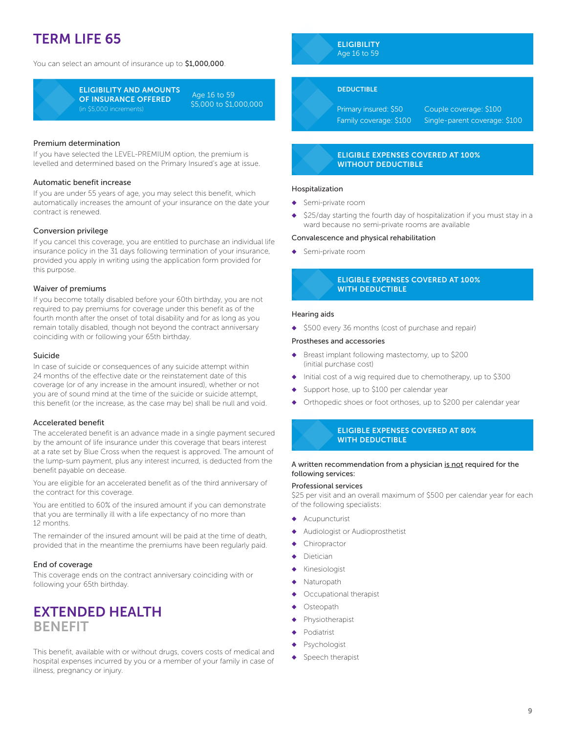# TERM LIFE 65

You can select an amount of insurance up to \$1,000,000.



ELIGIBILITY AND AMOUNTS OF INSURANCE OFFERED (in \$5,000 increments)

Age 16 to 59 \$5,000 to \$1,000,000

# Premium determination

If you have selected the LEVEL-PREMIUM option, the premium is levelled and determined based on the Primary Insured's age at issue.

# Automatic benefit increase

If you are under 55 years of age, you may select this benefit, which automatically increases the amount of your insurance on the date your contract is renewed.

# Conversion privilege

If you cancel this coverage, you are entitled to purchase an individual life insurance policy in the 31 days following termination of your insurance, provided you apply in writing using the application form provided for this purpose.

# Waiver of premiums

If you become totally disabled before your 60th birthday, you are not required to pay premiums for coverage under this benefit as of the fourth month after the onset of total disability and for as long as you remain totally disabled, though not beyond the contract anniversary coinciding with or following your 65th birthday.

# Suicide

In case of suicide or consequences of any suicide attempt within 24 months of the effective date or the reinstatement date of this coverage (or of any increase in the amount insured), whether or not you are of sound mind at the time of the suicide or suicide attempt, this benefit (or the increase, as the case may be) shall be null and void.

# Accelerated benefit

The accelerated benefit is an advance made in a single payment secured by the amount of life insurance under this coverage that bears interest at a rate set by Blue Cross when the request is approved. The amount of the lump-sum payment, plus any interest incurred, is deducted from the benefit payable on decease.

You are eligible for an accelerated benefit as of the third anniversary of the contract for this coverage.

You are entitled to 60% of the insured amount if you can demonstrate that you are terminally ill with a life expectancy of no more than 12 months.

The remainder of the insured amount will be paid at the time of death, provided that in the meantime the premiums have been regularly paid.

# End of coverage

This coverage ends on the contract anniversary coinciding with or following your 65th birthday.

# EXTENDED HEALTH BENEFIT

This benefit, available with or without drugs, covers costs of medical and hospital expenses incurred by you or a member of your family in case of illness, pregnancy or injury.



# DEDUCTIBLE

Primary insured: \$50 Family coverage: \$100 Couple coverage: \$100 Single-parent coverage: \$100

# ELIGIBLE EXPENSES COVERED AT 100% WITHOUT DEDUCTIBLE

# Hospitalization

- ◆ Semi-private room
- \$25/day starting the fourth day of hospitalization if you must stay in a ward because no semi-private rooms are available

#### Convalescence and physical rehabilitation

◆ Semi-private room

ELIGIBLE EXPENSES COVERED AT 100% WITH DEDUCTIBLE

# Hearing aids

◆ \$500 every 36 months (cost of purchase and repair)

# Prostheses and accessories

- ◆ Breast implant following mastectomy, up to \$200 (initial purchase cost)
- Initial cost of a wig required due to chemotherapy, up to \$300
- Support hose, up to \$100 per calendar year
- Orthopedic shoes or foot orthoses, up to \$200 per calendar year

# ELIGIBLE EXPENSES COVERED AT 80% WITH DEDUCTIBLE

# A written recommendation from a physician is not required for the following services:

#### Professional services

\$25 per visit and an overall maximum of \$500 per calendar year for each of the following specialists:

- Acupuncturist
- Audiologist or Audioprosthetist
- Chiropractor
- Dietician
- Kinesiologist
- Naturopath
- Occupational therapist
- Osteopath
- Physiotherapist
- Podiatrist
- Psychologist
- Speech therapist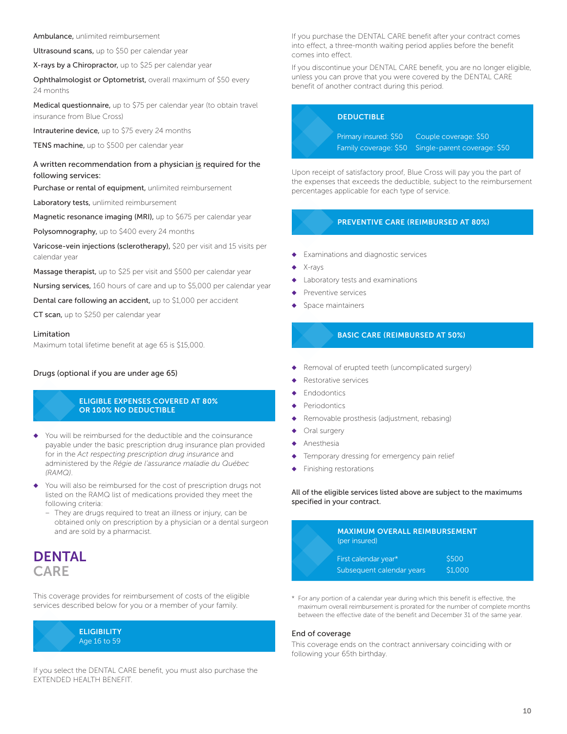#### Ambulance, unlimited reimbursement

Ultrasound scans, up to \$50 per calendar year

X-rays by a Chiropractor, up to \$25 per calendar year

Ophthalmologist or Optometrist, overall maximum of \$50 every 24 months

Medical questionnaire, up to \$75 per calendar year (to obtain travel insurance from Blue Cross)

Intrauterine device, up to \$75 every 24 months

TENS machine, up to \$500 per calendar year

# A written recommendation from a physician is required for the following services:

Purchase or rental of equipment, unlimited reimbursement

Laboratory tests, unlimited reimbursement

Magnetic resonance imaging (MRI), up to \$675 per calendar year

Polysomnography, up to \$400 every 24 months

Varicose-vein injections (sclerotherapy), \$20 per visit and 15 visits per calendar year

Massage therapist, up to \$25 per visit and \$500 per calendar year

Nursing services, 160 hours of care and up to \$5,000 per calendar year

Dental care following an accident, up to \$1,000 per accident

CT scan, up to \$250 per calendar year

#### Limitation

Maximum total lifetime benefit at age 65 is \$15,000.

# Drugs (optional if you are under age 65)

# ELIGIBLE EXPENSES COVERED AT 80% OR 100% NO DEDUCTIBLE

- ◆ You will be reimbursed for the deductible and the coinsurance payable under the basic prescription drug insurance plan provided for in the *Act respecting prescription drug insurance* and administered by the *Régie de l'assurance maladie du Québec (RAMQ)*.
- ◆ You will also be reimbursed for the cost of prescription drugs not listed on the RAMQ list of medications provided they meet the following criteria:
	- They are drugs required to treat an illness or injury, can be obtained only on prescription by a physician or a dental surgeon and are sold by a pharmacist.

# DENTAL **CARE**

This coverage provides for reimbursement of costs of the eligible services described below for you or a member of your family.



If you select the DENTAL CARE benefit, you must also purchase the EXTENDED HEALTH BENEFIT.

If you purchase the DENTAL CARE benefit after your contract comes into effect, a three-month waiting period applies before the benefit comes into effect.

If you discontinue your DENTAL CARE benefit, you are no longer eligible, unless you can prove that you were covered by the DENTAL CARE benefit of another contract during this period.

| <b>DEDUCTIBLE</b>                              |                                                       |
|------------------------------------------------|-------------------------------------------------------|
| Primary insured: \$50<br>Family coverage: \$50 | Couple coverage: \$50<br>Single-parent coverage: \$50 |

Upon receipt of satisfactory proof, Blue Cross will pay you the part of the expenses that exceeds the deductible, subject to the reimbursement percentages applicable for each type of service.

# PREVENTIVE CARE (REIMBURSED AT 80%)

- Examinations and diagnostic services
- ◆ X-rays
- Laboratory tests and examinations
- Preventive services
- Space maintainers

# BASIC CARE (REIMBURSED AT 50%)

- Removal of erupted teeth (uncomplicated surgery)
- Restorative services
- Endodontics
- Periodontics
- Removable prosthesis (adjustment, rebasing)
- Oral surgery
- **Anesthesia**
- Temporary dressing for emergency pain relief
- Finishing restorations

All of the eligible services listed above are subject to the maximums specified in your contract.

| (per insured)                                     | <b>MAXIMUM OVERALL REIMBURSEMENT</b> |  |  |  |
|---------------------------------------------------|--------------------------------------|--|--|--|
| First calendar year*<br>Subsequent calendar years | \$500<br>\$1,000                     |  |  |  |

\* For any portion of a calendar year during which this benefit is effective, the maximum overall reimbursement is prorated for the number of complete months between the effective date of the benefit and December 31 of the same year.

# End of coverage

This coverage ends on the contract anniversary coinciding with or following your 65th birthday.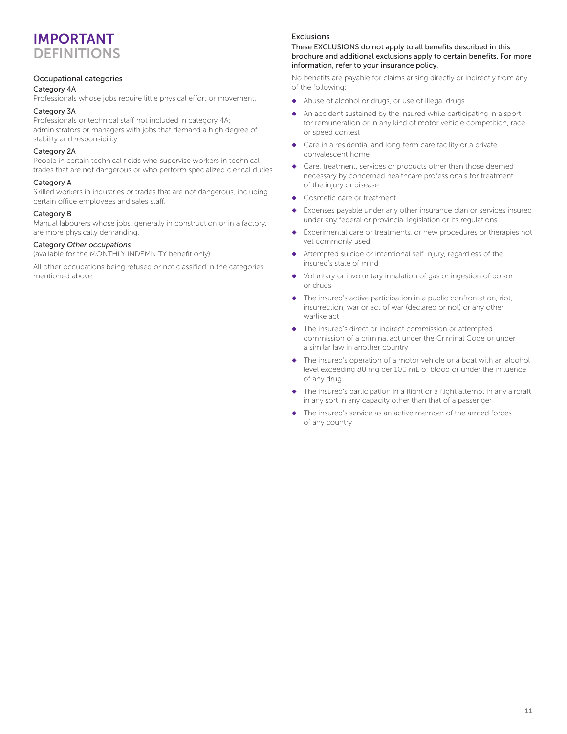# IMPORTANT DEFINITIONS

# Occupational categories

# Category 4A

Professionals whose jobs require little physical effort or movement.

# Category 3A

Professionals or technical staff not included in category 4A; administrators or managers with jobs that demand a high degree of stability and responsibility.

# Category 2A

People in certain technical fields who supervise workers in technical trades that are not dangerous or who perform specialized clerical duties.

# Category A

Skilled workers in industries or trades that are not dangerous, including certain office employees and sales staff.

# Category B

Manual labourers whose jobs, generally in construction or in a factory, are more physically demanding.

# Category *Other occupations*

(available for the MONTHLY INDEMNITY benefit only)

All other occupations being refused or not classified in the categories mentioned above.

# Exclusions

# These EXCLUSIONS do not apply to all benefits described in this brochure and additional exclusions apply to certain benefits. For more information, refer to your insurance policy.

No benefits are payable for claims arising directly or indirectly from any of the following:

- ◆ Abuse of alcohol or drugs, or use of illegal drugs
- ◆ An accident sustained by the insured while participating in a sport for remuneration or in any kind of motor vehicle competition, race or speed contest
- ◆ Care in a residential and long-term care facility or a private convalescent home
- ◆ Care, treatment, services or products other than those deemed necessary by concerned healthcare professionals for treatment of the injury or disease
- ◆ Cosmetic care or treatment
- Expenses payable under any other insurance plan or services insured under any federal or provincial legislation or its regulations
- Experimental care or treatments, or new procedures or therapies not yet commonly used
- Attempted suicide or intentional self-injury, regardless of the insured's state of mind
- Voluntary or involuntary inhalation of gas or ingestion of poison or drugs
- The insured's active participation in a public confrontation, riot, insurrection, war or act of war (declared or not) or any other warlike act
- ◆ The insured's direct or indirect commission or attempted commission of a criminal act under the Criminal Code or under a similar law in another country
- ◆ The insured's operation of a motor vehicle or a boat with an alcohol level exceeding 80 mg per 100 mL of blood or under the influence of any drug
- ◆ The insured's participation in a flight or a flight attempt in any aircraft in any sort in any capacity other than that of a passenger
- The insured's service as an active member of the armed forces of any country